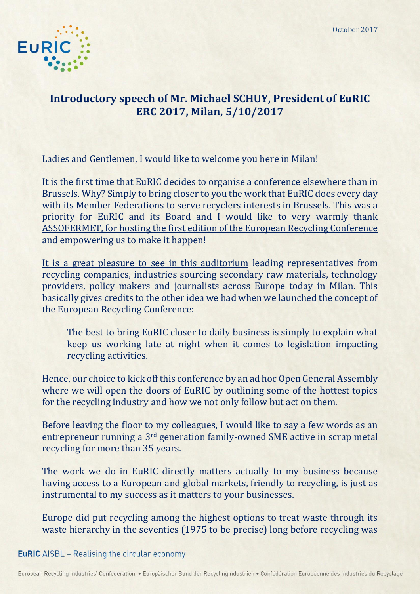October 2017



## **Introductory speech of Mr. Michael SCHUY, President of EuRIC ERC 2017, Milan, 5/10/2017**

Ladies and Gentlemen, I would like to welcome you here in Milan!

It is the first time that EuRIC decides to organise a conference elsewhere than in Brussels. Why? Simply to bring closer to you the work that EuRIC does every day with its Member Federations to serve recyclers interests in Brussels. This was a priority for EuRIC and its Board and I would like to very warmly thank ASSOFERMET, for hosting the first edition of the European Recycling Conference and empowering us to make it happen!

It is a great pleasure to see in this auditorium leading representatives from recycling companies, industries sourcing secondary raw materials, technology providers, policy makers and journalists across Europe today in Milan. This basically gives credits to the other idea we had when we launched the concept of the European Recycling Conference:

The best to bring EuRIC closer to daily business is simply to explain what keep us working late at night when it comes to legislation impacting recycling activities.

Hence, our choice to kick off this conference by an ad hoc Open General Assembly where we will open the doors of EuRIC by outlining some of the hottest topics for the recycling industry and how we not only follow but act on them.

Before leaving the floor to my colleagues, I would like to say a few words as an entrepreneur running a 3rd generation family-owned SME active in scrap metal recycling for more than 35 years.

The work we do in EuRIC directly matters actually to my business because having access to a European and global markets, friendly to recycling, is just as instrumental to my success as it matters to your businesses.

Europe did put recycling among the highest options to treat waste through its waste hierarchy in the seventies (1975 to be precise) long before recycling was

## **EuRIC** AISBL - Realising the circular economy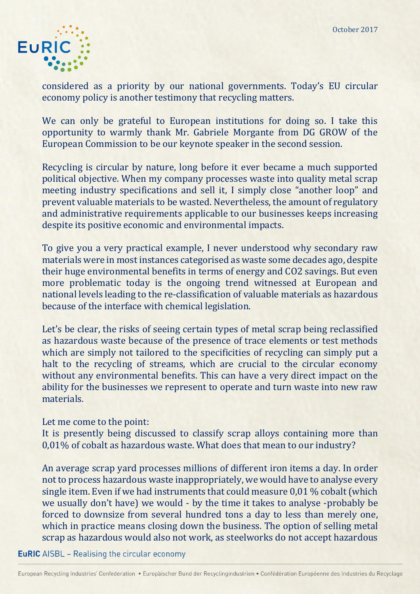

considered as a priority by our national governments. Today's EU circular economy policy is another testimony that recycling matters.

We can only be grateful to European institutions for doing so. I take this opportunity to warmly thank Mr. Gabriele Morgante from DG GROW of the European Commission to be our keynote speaker in the second session.

Recycling is circular by nature, long before it ever became a much supported political objective. When my company processes waste into quality metal scrap meeting industry specifications and sell it, I simply close "another loop" and prevent valuable materials to be wasted. Nevertheless, the amount of regulatory and administrative requirements applicable to our businesses keeps increasing despite its positive economic and environmental impacts.

To give you a very practical example, I never understood why secondary raw materials were in most instances categorised as waste some decades ago, despite their huge environmental benefits in terms of energy and CO2 savings. But even more problematic today is the ongoing trend witnessed at European and national levels leading to the re-classification of valuable materials as hazardous because of the interface with chemical legislation.

Let's be clear, the risks of seeing certain types of metal scrap being reclassified as hazardous waste because of the presence of trace elements or test methods which are simply not tailored to the specificities of recycling can simply put a halt to the recycling of streams, which are crucial to the circular economy without any environmental benefits. This can have a very direct impact on the ability for the businesses we represent to operate and turn waste into new raw materials.

## Let me come to the point:

It is presently being discussed to classify scrap alloys containing more than 0,01% of cobalt as hazardous waste. What does that mean to our industry?

An average scrap yard processes millions of different iron items a day. In order not to process hazardous waste inappropriately, we would have to analyse every single item. Even if we had instruments that could measure 0,01 % cobalt (which we usually don't have) we would - by the time it takes to analyse -probably be forced to downsize from several hundred tons a day to less than merely one, which in practice means closing down the business. The option of selling metal scrap as hazardous would also not work, as steelworks do not accept hazardous

**EuRIC** AISBL - Realising the circular economy